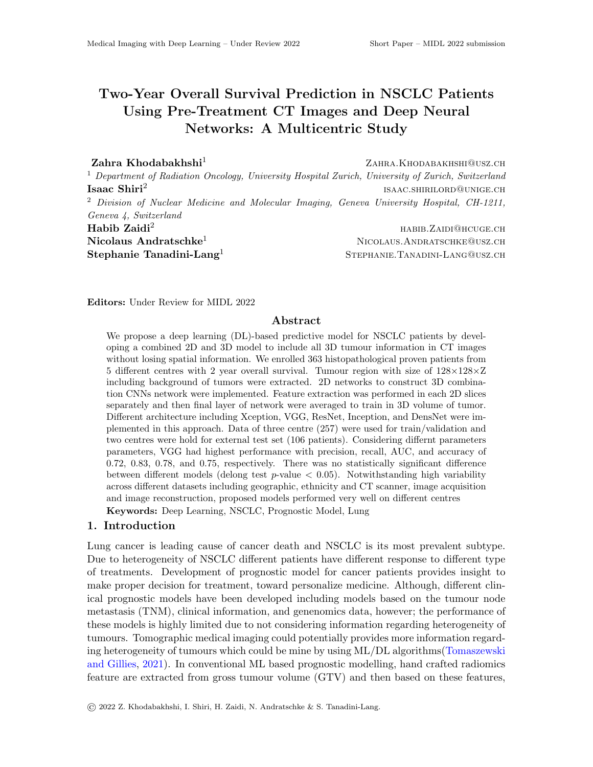# Two-Year Overall Survival Prediction in NSCLC Patients Using Pre-Treatment CT Images and Deep Neural Networks: A Multicentric Study

 $\mathbf{Zahra\ Khodabakhshi}$   $\mathbf{ZAHRA.KHODABAKHSHI@USZ.CH}$ <sup>1</sup> Department of Radiation Oncology, University Hospital Zurich, University of Zurich, Switzerland Isaac Shiri $^2$ isaac.shirilord@unige.ch <sup>2</sup> Division of Nuclear Medicine and Molecular Imaging, Geneva University Hospital, CH-1211, Geneva 4, Switzerland  $\rm Habib \,\, Zaidi^2$  habib. $\rm Zaidi^2$  habib. $\rm Zaidi^2$  $\bf{N}$ icolaus  $\bf{Andratschke}^1$   $\bf{N}$ icolaus.Andr $\bf{N}$ icolaus.Andr $\bf{N}$ icolaus.Andr $\bf{N}$ icolaus.Andr $\bf{N}$ icolaus.Andr Stephanie Tanadini-Lang<sup>1</sup> STEPHANIE.TANADINI-LANG@USZ.CH

Editors: Under Review for MIDL 2022

### Abstract

We propose a deep learning (DL)-based predictive model for NSCLC patients by developing a combined 2D and 3D model to include all 3D tumour information in CT images without losing spatial information. We enrolled 363 histopathological proven patients from 5 different centres with 2 year overall survival. Tumour region with size of  $128\times128\times Z$ including background of tumors were extracted. 2D networks to construct 3D combination CNNs network were implemented. Feature extraction was performed in each 2D slices separately and then final layer of network were averaged to train in 3D volume of tumor. Different architecture including Xception, VGG, ResNet, Inception, and DensNet were implemented in this approach. Data of three centre (257) were used for train/validation and two centres were hold for external test set (106 patients). Considering differnt parameters parameters, VGG had highest performance with precision, recall, AUC, and accuracy of 0.72, 0.83, 0.78, and 0.75, respectively. There was no statistically significant difference between different models (delong test  $p$ -value  $< 0.05$ ). Notwithstanding high variability across different datasets including geographic, ethnicity and CT scanner, image acquisition and image reconstruction, proposed models performed very well on different centres Keywords: Deep Learning, NSCLC, Prognostic Model, Lung

#### 1. Introduction

Lung cancer is leading cause of cancer death and NSCLC is its most prevalent subtype. Due to heterogeneity of NSCLC different patients have different response to different type of treatments. Development of prognostic model for cancer patients provides insight to make proper decision for treatment, toward personalize medicine. Although, different clinical prognostic models have been developed including models based on the tumour node metastasis (TNM), clinical information, and genenomics data, however; the performance of these models is highly limited due to not considering information regarding heterogeneity of tumours. Tomographic medical imaging could potentially provides more information regarding heterogeneity of tumours which could be mine by using ML/DL algorithms[\(Tomaszewski](#page-2-0) [and Gillies,](#page-2-0) [2021\)](#page-2-0). In conventional ML based prognostic modelling, hand crafted radiomics feature are extracted from gross tumour volume (GTV) and then based on these features,